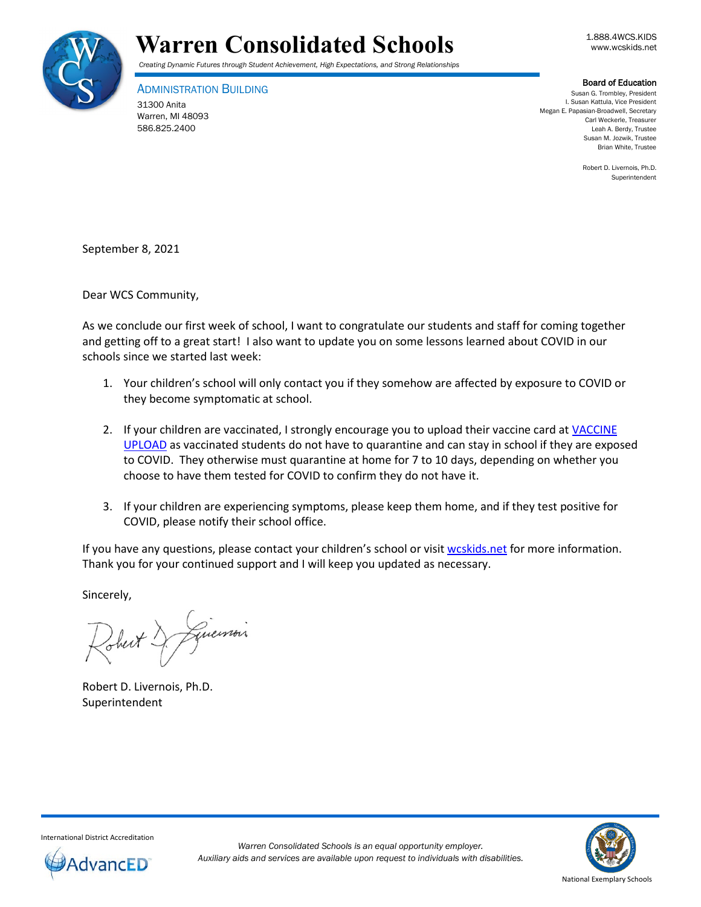



ADMINISTRATION BUILDING 31300 Anita Warren, MI 48093 586.825.2400

**Board of Education**<br>Susan G. Trombley, President I. Susan Kattula, Vice President Megan E. Papasian-Broadwell, Secretary Carl Weckerle, Treasurer Leah A. Berdy, Trustee Susan M. Jozwik, Trustee Brian White, Trustee

> Robert D. Livernois, Ph.D. Superintendent

September 8, 2021

Dear WCS Community,

As we conclude our first week of school, I want to congratulate our students and staff for coming together and getting off to a great start! I also want to update you on some lessons learned about COVID in our schools since we started last week:

- 1. Your children's school will only contact you if they somehow are affected by exposure to COVID or they become symptomatic at school.
- 2. If your children are vaccinated, I strongly encourage you to upload their vaccine card at VACCINE [UPLOAD](https://www.wcskids.net/DocumentDepot/se/Forms/31/Add.aspx) as vaccinated students do not have to quarantine and can stay in school if they are exposed to COVID. They otherwise must quarantine at home for 7 to 10 days, depending on whether you choose to have them tested for COVID to confirm they do not have it.
- 3. If your children are experiencing symptoms, please keep them home, and if they test positive for COVID, please notify their school office.

If you have any questions, please contact your children's school or visit [wcskids.net](http://wcskids.net/) for more information. Thank you for your continued support and I will keep you updated as necessary.

Sincerely,

Guerrois Sheit!

Robert D. Livernois, Ph.D. Superintendent



International District Accreditation